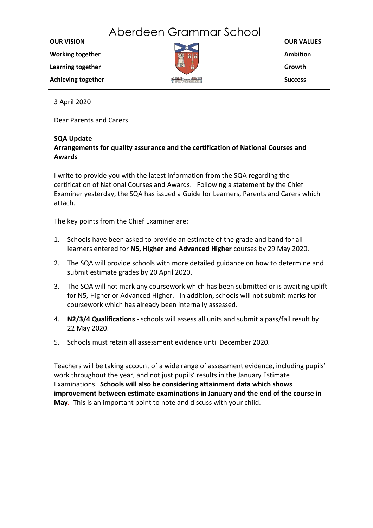## Aberdeen Grammar School

**OUR VISION Working together Learning together**



**OUR VALUES Ambition Growth Success**

3 April 2020

**Achieving together**

Dear Parents and Carers

## **SQA Update**

## **Arrangements for quality assurance and the certification of National Courses and Awards**

I write to provide you with the latest information from the SQA regarding the certification of National Courses and Awards. Following a statement by the Chief Examiner yesterday, the SQA has issued a Guide for Learners, Parents and Carers which I attach.

The key points from the Chief Examiner are:

- 1. Schools have been asked to provide an estimate of the grade and band for all learners entered for **N5, Higher and Advanced Higher** courses by 29 May 2020.
- 2. The SQA will provide schools with more detailed guidance on how to determine and submit estimate grades by 20 April 2020.
- 3. The SQA will not mark any coursework which has been submitted or is awaiting uplift for N5, Higher or Advanced Higher. In addition, schools will not submit marks for coursework which has already been internally assessed.
- 4. **N2/3/4 Qualifications**  schools will assess all units and submit a pass/fail result by 22 May 2020.
- 5. Schools must retain all assessment evidence until December 2020.

Teachers will be taking account of a wide range of assessment evidence, including pupils' work throughout the year, and not just pupils' results in the January Estimate Examinations. **Schools will also be considering attainment data which shows improvement between estimate examinations in January and the end of the course in May.** This is an important point to note and discuss with your child.